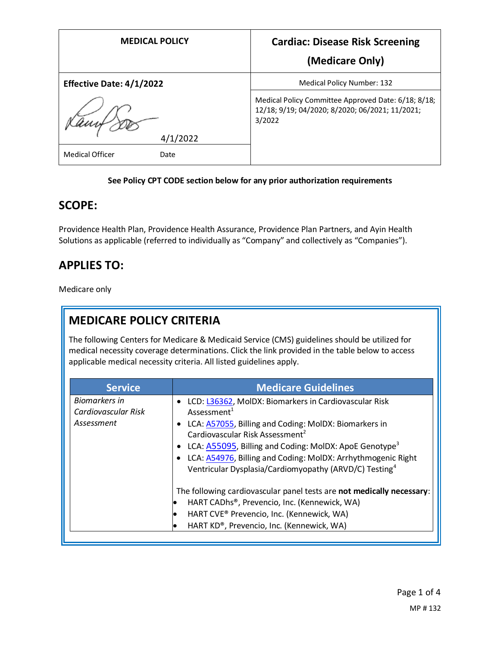| <b>MEDICAL POLICY</b>           | <b>Cardiac: Disease Risk Screening</b>                                                                           |
|---------------------------------|------------------------------------------------------------------------------------------------------------------|
|                                 | (Medicare Only)                                                                                                  |
| <b>Effective Date: 4/1/2022</b> | Medical Policy Number: 132                                                                                       |
|                                 | Medical Policy Committee Approved Date: 6/18; 8/18;<br>12/18; 9/19; 04/2020; 8/2020; 06/2021; 11/2021;<br>3/2022 |
| 4/1/2022                        |                                                                                                                  |
| <b>Medical Officer</b><br>Date  |                                                                                                                  |

### **See Policy CPT CODE section below for any prior authorization requirements**

### **SCOPE:**

Providence Health Plan, Providence Health Assurance, Providence Plan Partners, and Ayin Health Solutions as applicable (referred to individually as "Company" and collectively as "Companies").

## **APPLIES TO:**

Medicare only

# **MEDICARE POLICY CRITERIA**

The following Centers for Medicare & Medicaid Service (CMS) guidelines should be utilized for medical necessity coverage determinations. Click the link provided in the table below to access applicable medical necessity criteria. All listed guidelines apply.

| <b>Service</b>                                     | <b>Medicare Guidelines</b>                                                                                                                                                                                                                                                                                                                                                                           |
|----------------------------------------------------|------------------------------------------------------------------------------------------------------------------------------------------------------------------------------------------------------------------------------------------------------------------------------------------------------------------------------------------------------------------------------------------------------|
| Biomarkers in<br>Cardiovascular Risk<br>Assessment | LCD: L36362, MolDX: Biomarkers in Cardiovascular Risk<br>Assessment <sup>1</sup><br>LCA: A57055, Billing and Coding: MolDX: Biomarkers in<br>Cardiovascular Risk Assessment <sup>2</sup><br>LCA: A55095, Billing and Coding: MoIDX: ApoE Genotype <sup>3</sup><br>LCA: A54976, Billing and Coding: MolDX: Arrhythmogenic Right<br>Ventricular Dysplasia/Cardiomyopathy (ARVD/C) Testing <sup>4</sup> |
|                                                    | The following cardiovascular panel tests are not medically necessary:<br>HART CADhs®, Prevencio, Inc. (Kennewick, WA)<br>HART CVE® Prevencio, Inc. (Kennewick, WA)<br>HART KD®, Prevencio, Inc. (Kennewick, WA)                                                                                                                                                                                      |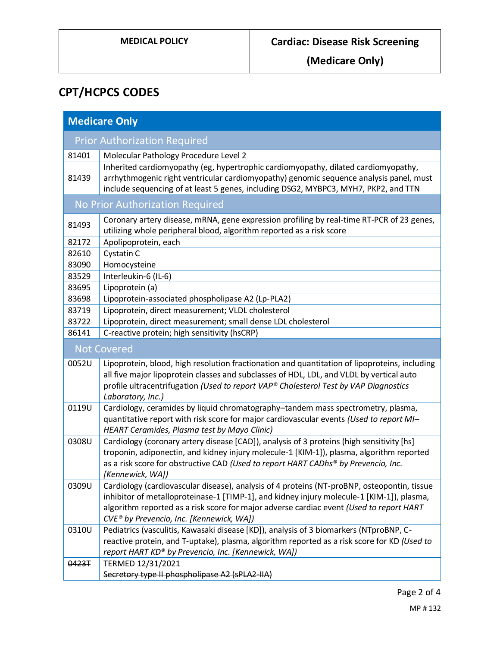**(Medicare Only)**

# **CPT/HCPCS CODES**

| <b>Medicare Only</b>            |                                                                                                                                                                                                                                                                     |  |
|---------------------------------|---------------------------------------------------------------------------------------------------------------------------------------------------------------------------------------------------------------------------------------------------------------------|--|
|                                 | <b>Prior Authorization Required</b>                                                                                                                                                                                                                                 |  |
| 81401                           | Molecular Pathology Procedure Level 2                                                                                                                                                                                                                               |  |
| 81439                           | Inherited cardiomyopathy (eg, hypertrophic cardiomyopathy, dilated cardiomyopathy,<br>arrhythmogenic right ventricular cardiomyopathy) genomic sequence analysis panel, must<br>include sequencing of at least 5 genes, including DSG2, MYBPC3, MYH7, PKP2, and TTN |  |
| No Prior Authorization Required |                                                                                                                                                                                                                                                                     |  |
| 81493                           | Coronary artery disease, mRNA, gene expression profiling by real-time RT-PCR of 23 genes,<br>utilizing whole peripheral blood, algorithm reported as a risk score                                                                                                   |  |
| 82172                           | Apolipoprotein, each                                                                                                                                                                                                                                                |  |
| 82610                           | Cystatin C                                                                                                                                                                                                                                                          |  |
| 83090                           | Homocysteine                                                                                                                                                                                                                                                        |  |
| 83529                           | Interleukin-6 (IL-6)                                                                                                                                                                                                                                                |  |
| 83695                           | Lipoprotein (a)                                                                                                                                                                                                                                                     |  |
| 83698                           | Lipoprotein-associated phospholipase A2 (Lp-PLA2)                                                                                                                                                                                                                   |  |
| 83719                           | Lipoprotein, direct measurement; VLDL cholesterol                                                                                                                                                                                                                   |  |
| 83722                           | Lipoprotein, direct measurement; small dense LDL cholesterol                                                                                                                                                                                                        |  |
| 86141                           | C-reactive protein; high sensitivity (hsCRP)                                                                                                                                                                                                                        |  |
| <b>Not Covered</b>              |                                                                                                                                                                                                                                                                     |  |
| 0052U                           | Lipoprotein, blood, high resolution fractionation and quantitation of lipoproteins, including                                                                                                                                                                       |  |
|                                 | all five major lipoprotein classes and subclasses of HDL, LDL, and VLDL by vertical auto<br>profile ultracentrifugation (Used to report VAP® Cholesterol Test by VAP Diagnostics                                                                                    |  |
|                                 | Laboratory, Inc.)                                                                                                                                                                                                                                                   |  |
| 0119U                           | Cardiology, ceramides by liquid chromatography-tandem mass spectrometry, plasma,                                                                                                                                                                                    |  |
|                                 | quantitative report with risk score for major cardiovascular events (Used to report MI-                                                                                                                                                                             |  |
|                                 | HEART Ceramides, Plasma test by Mayo Clinic)                                                                                                                                                                                                                        |  |
| 0308U                           | Cardiology (coronary artery disease [CAD]), analysis of 3 proteins (high sensitivity [hs]                                                                                                                                                                           |  |
|                                 | troponin, adiponectin, and kidney injury molecule-1 [KIM-1]), plasma, algorithm reported                                                                                                                                                                            |  |
|                                 | as a risk score for obstructive CAD (Used to report HART CADhs® by Prevencio, Inc.                                                                                                                                                                                  |  |
|                                 | [Kennewick, WA])                                                                                                                                                                                                                                                    |  |
| 0309U                           | Cardiology (cardiovascular disease), analysis of 4 proteins (NT-proBNP, osteopontin, tissue                                                                                                                                                                         |  |
|                                 | inhibitor of metalloproteinase-1 [TIMP-1], and kidney injury molecule-1 [KIM-1]), plasma,                                                                                                                                                                           |  |
|                                 | algorithm reported as a risk score for major adverse cardiac event (Used to report HART                                                                                                                                                                             |  |
|                                 | CVE® by Prevencio, Inc. [Kennewick, WA])                                                                                                                                                                                                                            |  |
| 0310U                           | Pediatrics (vasculitis, Kawasaki disease [KD]), analysis of 3 biomarkers (NTproBNP, C-                                                                                                                                                                              |  |
|                                 | reactive protein, and T-uptake), plasma, algorithm reported as a risk score for KD (Used to                                                                                                                                                                         |  |
|                                 | report HART KD® by Prevencio, Inc. [Kennewick, WA])                                                                                                                                                                                                                 |  |
| 0423T                           | TERMED 12/31/2021                                                                                                                                                                                                                                                   |  |
|                                 | Secretory type II phospholipase A2 (sPLA2-IIA)                                                                                                                                                                                                                      |  |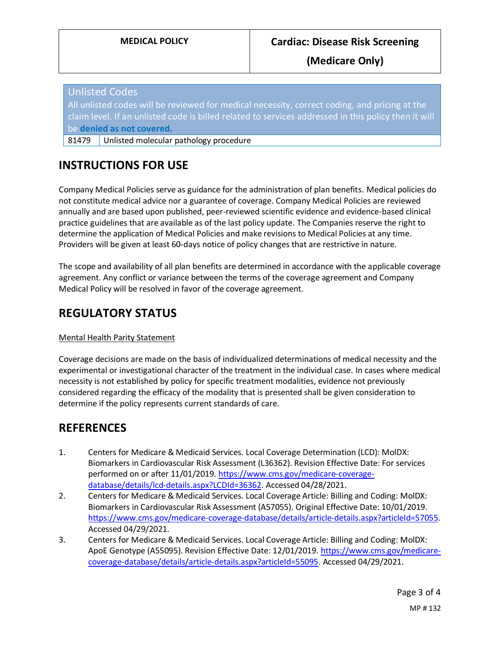**(Medicare Only)**

Unlisted Codes All unlisted codes will be reviewed for medical necessity, correct coding, and pricing at the claim level. If an unlisted code is billed related to services addressed in this policy then it will be **denied as not covered.**

81479 Unlisted molecular pathology procedure

## **INSTRUCTIONS FOR USE**

Company Medical Policies serve as guidance for the administration of plan benefits. Medical policies do not constitute medical advice nor a guarantee of coverage. Company Medical Policies are reviewed annually and are based upon published, peer-reviewed scientific evidence and evidence-based clinical practice guidelines that are available as of the last policy update. The Companies reserve the right to determine the application of Medical Policies and make revisions to Medical Policies at any time. Providers will be given at least 60-days notice of policy changes that are restrictive in nature.

The scope and availability of all plan benefits are determined in accordance with the applicable coverage agreement. Any conflict or variance between the terms of the coverage agreement and Company Medical Policy will be resolved in favor of the coverage agreement.

## **REGULATORY STATUS**

#### Mental Health Parity Statement

Coverage decisions are made on the basis of individualized determinations of medical necessity and the experimental or investigational character of the treatment in the individual case. In cases where medical necessity is not established by policy for specific treatment modalities, evidence not previously considered regarding the efficacy of the modality that is presented shall be given consideration to determine if the policy represents current standards of care.

### **REFERENCES**

- 1. Centers for Medicare & Medicaid Services. Local Coverage Determination (LCD): MolDX: Biomarkers in Cardiovascular Risk Assessment (L36362). Revision Effective Date: For services performed on or after 11/01/2019. [https://www.cms.gov/medicare-coverage](https://www.cms.gov/medicare-coverage-database/details/lcd-details.aspx?LCDId=36362)[database/details/lcd-details.aspx?LCDId=36362.](https://www.cms.gov/medicare-coverage-database/details/lcd-details.aspx?LCDId=36362) Accessed 04/28/2021.
- 2. Centers for Medicare & Medicaid Services. Local Coverage Article: Billing and Coding: MolDX: Biomarkers in Cardiovascular Risk Assessment (A57055). Original Effective Date: 10/01/2019. [https://www.cms.gov/medicare-coverage-database/details/article-details.aspx?articleId=57055.](https://www.cms.gov/medicare-coverage-database/details/article-details.aspx?articleId=57055) Accessed 04/29/2021.
- 3. Centers for Medicare & Medicaid Services. Local Coverage Article: Billing and Coding: MolDX: ApoE Genotype (A55095). Revision Effective Date: 12/01/2019[. https://www.cms.gov/medicare](https://www.cms.gov/medicare-coverage-database/details/article-details.aspx?articleId=55095)[coverage-database/details/article-details.aspx?articleId=55095.](https://www.cms.gov/medicare-coverage-database/details/article-details.aspx?articleId=55095) Accessed 04/29/2021.